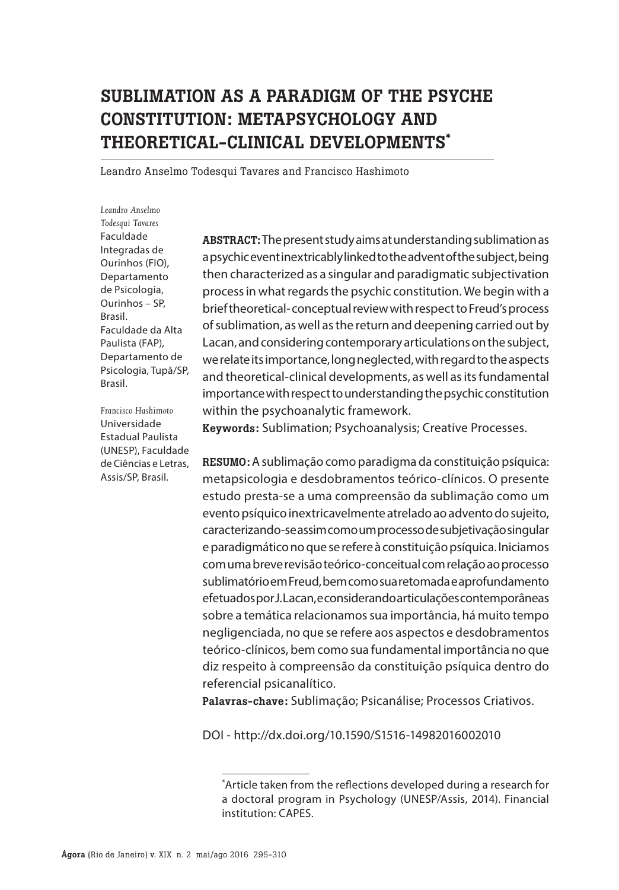# SUBLIMATION AS A PARADIGM OF THE PSYCHE CONSTITUTION: METAPSYCHOLOGY AND THEORETICAL-CLINICAL DEVELOPMENTS\*

Leandro Anselmo Todesqui Tavares and Francisco Hashimoto

*Leandro Anselmo Todesqui Tavares* Faculdade Integradas de Ourinhos (FIO), Departamento de Psicologia, Ourinhos – SP, Brasil. Faculdade da Alta Paulista (FAP), Departamento de Psicologia, Tupã/SP, Brasil.

*Francisco Hashimoto* Universidade Estadual Paulista (UNESP), Faculdade de Ciências e Letras, Assis/SP, Brasil.

ABSTRACT:The present study aims at understanding sublimation as a psychic event inextricably linked to the advent of the subject, being then characterized as a singular and paradigmatic subjectivation process in what regards the psychic constitution. We begin with a brief theoretical- conceptual review with respect to Freud's process of sublimation, as well as the return and deepening carried out by Lacan, and considering contemporary articulations on the subject, we relate its importance, long neglected, with regard to the aspects and theoretical-clinical developments, as well as its fundamental importance with respect to understanding the psychic constitution within the psychoanalytic framework.

Keywords: Sublimation; Psychoanalysis; Creative Processes.

RESUMO: A sublimação como paradigma da constituição psíquica: metapsicologia e desdobramentos teórico-clínicos. O presente estudo presta-se a uma compreensão da sublimação como um evento psíquico inextricavelmente atrelado ao advento do sujeito, caracterizando-se assim como um processo de subjetivação singular e paradigmático no que se refere à constituição psíquica. Iniciamos com uma breve revisão teórico-conceitual com relação ao processo sublimatório em Freud, bem como sua retomada e aprofundamento efetuados por J. Lacan, e considerando articulações contemporâneas sobre a temática relacionamos sua importância, há muito tempo negligenciada, no que se refere aos aspectos e desdobramentos teórico-clínicos, bem como sua fundamental importância no que diz respeito à compreensão da constituição psíquica dentro do referencial psicanalítico.

Palavras-chave: Sublimação; Psicanálise; Processos Criativos.

DOI - http://dx.doi.org/10.1590/S1516-14982016002010

<sup>\*</sup> Article taken from the reflections developed during a research for a doctoral program in Psychology (UNESP/Assis, 2014). Financial institution: CAPES.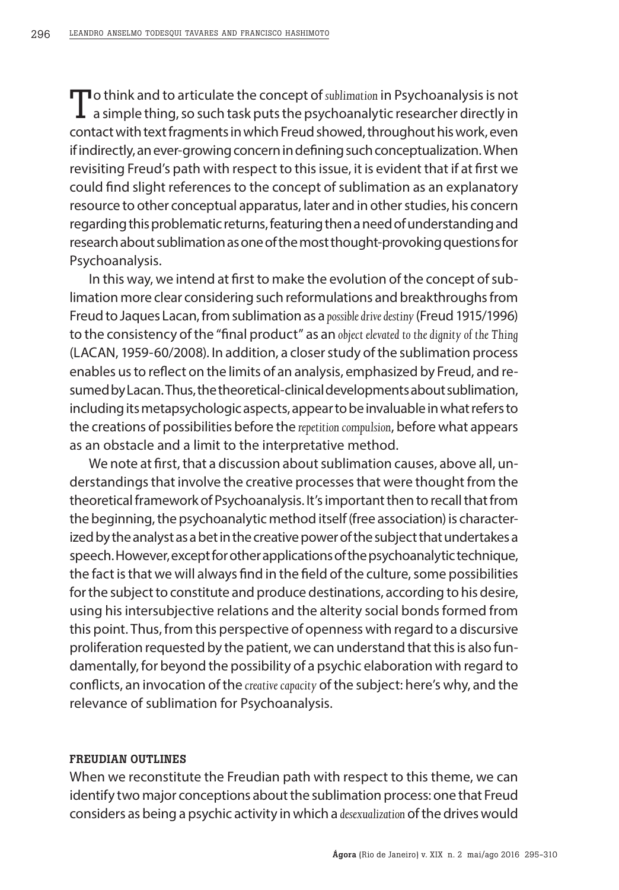To think and to articulate the concept of *sublimation* in Psychoanalysis is not<br>a simple thing, so such task puts the psychoanalytic researcher directly in contact with text fragments in which Freud showed, throughout his work, even if indirectly, an ever-growing concern in defining such conceptualization. When revisiting Freud's path with respect to this issue, it is evident that if at first we could find slight references to the concept of sublimation as an explanatory resource to other conceptual apparatus, later and in other studies, his concern regarding this problematic returns, featuring then a need of understanding and research about sublimation as one of the most thought-provoking questions for Psychoanalysis.

In this way, we intend at first to make the evolution of the concept of sublimation more clear considering such reformulations and breakthroughs from Freud to Jaques Lacan, from sublimation as a *possible drive destiny* (Freud 1915/1996) to the consistency of the "final product" as an *object elevated to the dignity of the Thing* (LACAN, 1959-60/2008). In addition, a closer study of the sublimation process enables us to reflect on the limits of an analysis, emphasized by Freud, and resumed by Lacan. Thus, the theoretical-clinical developments about sublimation, including its metapsychologic aspects, appear to be invaluable in what refers to the creations of possibilities before the *repetition compulsion*, before what appears as an obstacle and a limit to the interpretative method.

We note at first, that a discussion about sublimation causes, above all, understandings that involve the creative processes that were thought from the theoretical framework of Psychoanalysis. It's important then to recall that from the beginning, the psychoanalytic method itself (free association) is characterized by the analyst as a bet in the creative power of the subject that undertakes a speech. However, except for other applications of the psychoanalytic technique, the fact is that we will always find in the field of the culture, some possibilities for the subject to constitute and produce destinations, according to his desire, using his intersubjective relations and the alterity social bonds formed from this point. Thus, from this perspective of openness with regard to a discursive proliferation requested by the patient, we can understand that this is also fundamentally, for beyond the possibility of a psychic elaboration with regard to conflicts, an invocation of the *creative capacity* of the subject: here's why, and the relevance of sublimation for Psychoanalysis.

#### FREUDIAN OUTLINES

When we reconstitute the Freudian path with respect to this theme, we can identify two major conceptions about the sublimation process: one that Freud considers as being a psychic activity in which a *desexualization* of the drives would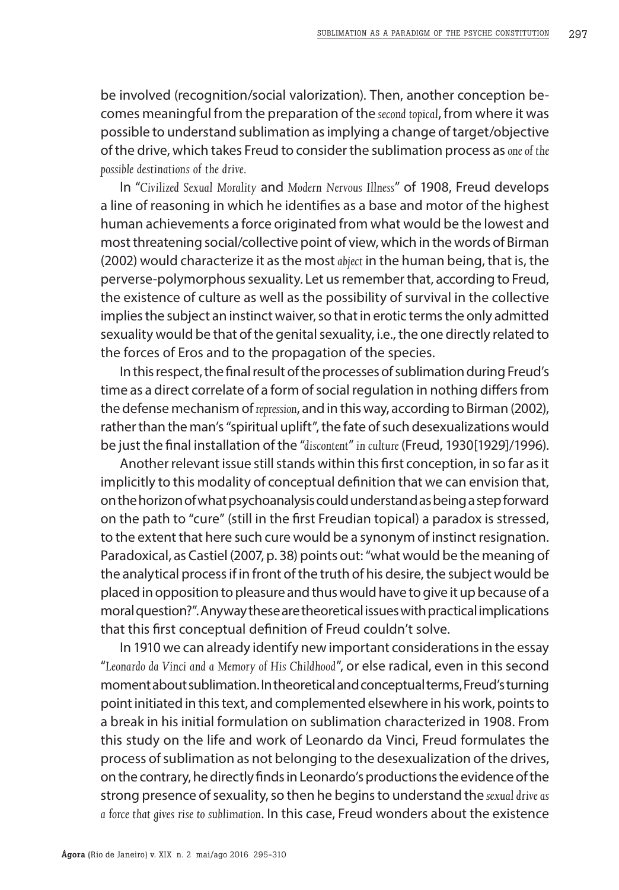be involved (recognition/social valorization). Then, another conception becomes meaningful from the preparation of the *second topical*, from where it was possible to understand sublimation as implying a change of target/objective of the drive, which takes Freud to consider the sublimation process as *one of the possible destinations of the drive.*

In "*Civilized Sexual Morality* and *Modern Nervous Illness*" of 1908, Freud develops a line of reasoning in which he identifies as a base and motor of the highest human achievements a force originated from what would be the lowest and most threatening social/collective point of view, which in the words of Birman (2002) would characterize it as the most *abject* in the human being, that is, the perverse-polymorphous sexuality. Let us remember that, according to Freud, the existence of culture as well as the possibility of survival in the collective implies the subject an instinct waiver, so that in erotic terms the only admitted sexuality would be that of the genital sexuality, i.e., the one directly related to the forces of Eros and to the propagation of the species.

In this respect, the final result of the processes of sublimation during Freud's time as a direct correlate of a form of social regulation in nothing differs from the defense mechanism of *repression*, and in this way, according to Birman (2002), rather than the man's "spiritual uplift", the fate of such desexualizations would be just the final installation of the "*discontent*" *in culture* (Freud, 1930[1929]/1996).

Another relevant issue still stands within this first conception, in so far as it implicitly to this modality of conceptual definition that we can envision that, on the horizon of what psychoanalysis could understand as being a step forward on the path to "cure" (still in the first Freudian topical) a paradox is stressed, to the extent that here such cure would be a synonym of instinct resignation. Paradoxical, as Castiel (2007, p. 38) points out: "what would be the meaning of the analytical process if in front of the truth of his desire, the subject would be placed in opposition to pleasure and thus would have to give it up because of a moral question?". Anyway these are theoretical issues with practical implications that this first conceptual definition of Freud couldn't solve.

In 1910 we can already identify new important considerations in the essay "*Leonardo da Vinci and a Memory of His Childhood*", or else radical, even in this second moment about sublimation. In theoretical and conceptual terms, Freud's turning point initiated in this text, and complemented elsewhere in his work, points to a break in his initial formulation on sublimation characterized in 1908. From this study on the life and work of Leonardo da Vinci, Freud formulates the process of sublimation as not belonging to the desexualization of the drives, on the contrary, he directly finds in Leonardo's productions the evidence of the strong presence of sexuality, so then he begins to understand the *sexual drive as a force that gives rise to sublimation*. In this case, Freud wonders about the existence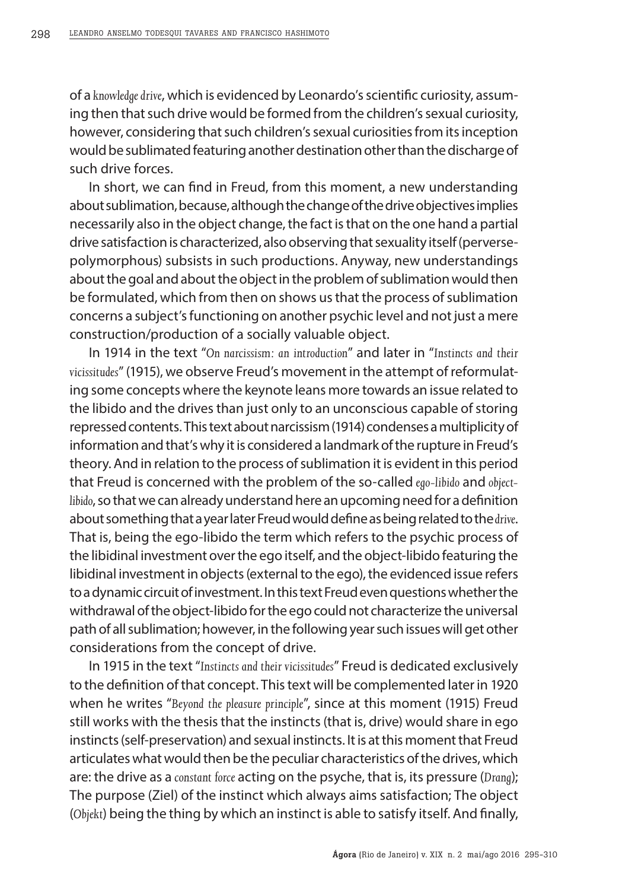of a *knowledge drive*, which is evidenced by Leonardo's scientific curiosity, assuming then that such drive would be formed from the children's sexual curiosity, however, considering that such children's sexual curiosities from its inception would be sublimated featuring another destination other than the discharge of such drive forces.

In short, we can find in Freud, from this moment, a new understanding about sublimation, because, although the change of the drive objectives implies necessarily also in the object change, the fact is that on the one hand a partial drive satisfaction is characterized, also observing that sexuality itself (perversepolymorphous) subsists in such productions. Anyway, new understandings about the goal and about the object in the problem of sublimation would then be formulated, which from then on shows us that the process of sublimation concerns a subject's functioning on another psychic level and not just a mere construction/production of a socially valuable object.

In 1914 in the text "*On narcissism: an introduction*" and later in "*Instincts and their vicissitudes*" (1915), we observe Freud's movement in the attempt of reformulating some concepts where the keynote leans more towards an issue related to the libido and the drives than just only to an unconscious capable of storing repressed contents. This text about narcissism (1914) condenses a multiplicity of information and that's why it is considered a landmark of the rupture in Freud's theory. And in relation to the process of sublimation it is evident in this period that Freud is concerned with the problem of the so-called *ego-libido* and *objectlibido*, so that we can already understand here an upcoming need for a definition about something that a year later Freud would define as being related to the *drive*. That is, being the ego-libido the term which refers to the psychic process of the libidinal investment over the ego itself, and the object-libido featuring the libidinal investment in objects (external to the ego), the evidenced issue refers to a dynamic circuit of investment. In this text Freud even questions whether the withdrawal of the object-libido for the ego could not characterize the universal path of all sublimation; however, in the following year such issues will get other considerations from the concept of drive.

In 1915 in the text "*Instincts and their vicissitudes*" Freud is dedicated exclusively to the definition of that concept. This text will be complemented later in 1920 when he writes "*Beyond the pleasure principle*", since at this moment (1915) Freud still works with the thesis that the instincts (that is, drive) would share in ego instincts (self-preservation) and sexual instincts. It is at this moment that Freud articulates what would then be the peculiar characteristics of the drives, which are: the drive as a *constant force* acting on the psyche, that is, its pressure (*Drang*); The purpose (Ziel) of the instinct which always aims satisfaction; The object (*Objekt*) being the thing by which an instinct is able to satisfy itself. And finally,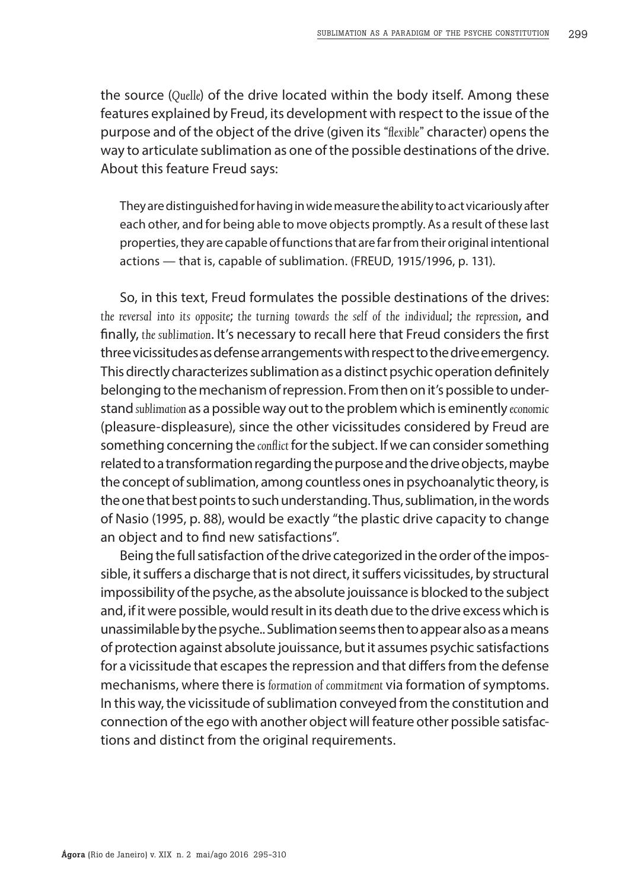the source (*Quelle*) of the drive located within the body itself. Among these features explained by Freud, its development with respect to the issue of the purpose and of the object of the drive (given its *"flexible"* character) opens the way to articulate sublimation as one of the possible destinations of the drive. About this feature Freud says:

They are distinguished for having in wide measure the ability to act vicariously after each other, and for being able to move objects promptly. As a result of these last properties, they are capable of functions that are far from their original intentional actions — that is, capable of sublimation. (FREUD, 1915/1996, p. 131).

So, in this text, Freud formulates the possible destinations of the drives: *the reversal into its opposite*; *the turning towards the self of the individual*; *the repression*, and finally, *the sublimation*. It's necessary to recall here that Freud considers the first three vicissitudes as defense arrangements with respect to the drive emergency. This directly characterizes sublimation as a distinct psychic operation definitely belonging to the mechanism of repression. From then on it's possible to understand *sublimation* as a possible way out to the problem which is eminently *economic* (pleasure-displeasure), since the other vicissitudes considered by Freud are something concerning the *conflict* for the subject. If we can consider something related to a transformation regarding the purpose and the drive objects, maybe the concept of sublimation, among countless ones in psychoanalytic theory, is the one that best points to such understanding. Thus, sublimation, in the words of Nasio (1995, p. 88), would be exactly "the plastic drive capacity to change an object and to find new satisfactions".

Being the full satisfaction of the drive categorized in the order of the impossible, it suffers a discharge that is not direct, it suffers vicissitudes, by structural impossibility of the psyche, as the absolute jouissance is blocked to the subject and, if it were possible, would result in its death due to the drive excess which is unassimilable by the psyche.. Sublimation seems then to appear also as a means of protection against absolute jouissance, but it assumes psychic satisfactions for a vicissitude that escapes the repression and that differs from the defense mechanisms, where there is *formation of commitment* via formation of symptoms. In this way, the vicissitude of sublimation conveyed from the constitution and connection of the ego with another object will feature other possible satisfactions and distinct from the original requirements.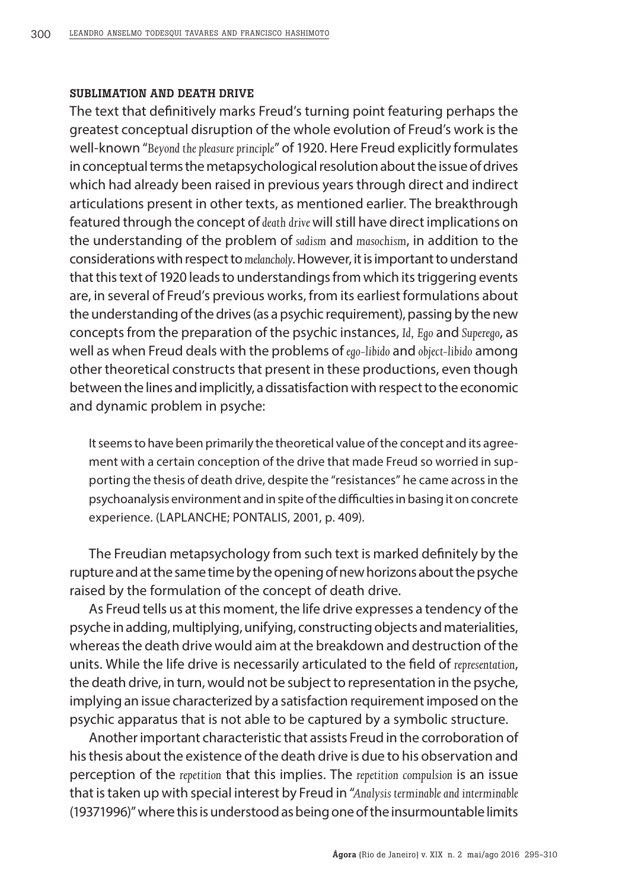### SUBLIMATION AND DEATH DRIVE

The text that definitively marks Freud's turning point featuring perhaps the greatest conceptual disruption of the whole evolution of Freud's work is the well-known "*Beyond the pleasure principle*" of 1920. Here Freud explicitly formulates in conceptual terms the metapsychological resolution about the issue of drives which had already been raised in previous years through direct and indirect articulations present in other texts, as mentioned earlier. The breakthrough featured through the concept of *death drive* will still have direct implications on the understanding of the problem of *sadism* and *masochism*, in addition to the considerations with respect to *melancholy*. However, it is important to understand that this text of 1920 leads to understandings from which its triggering events are, in several of Freud's previous works, from its earliest formulations about the understanding of the drives (as a psychic requirement), passing by the new concepts from the preparation of the psychic instances, *Id, Ego* and *Superego*, as well as when Freud deals with the problems of *ego-libido* and *object-libido* among other theoretical constructs that present in these productions, even though between the lines and implicitly, a dissatisfaction with respect to the economic and dynamic problem in psyche:

It seems to have been primarily the theoretical value of the concept and its agreement with a certain conception of the drive that made Freud so worried in supporting the thesis of death drive, despite the "resistances" he came across in the psychoanalysis environment and in spite of the difficulties in basing it on concrete experience. (LAPLANCHE; PONTALIS, 2001, p. 409).

The Freudian metapsychology from such text is marked definitely by the rupture and at the same time by the opening of new horizons about the psyche raised by the formulation of the concept of death drive.

As Freud tells us at this moment, the life drive expresses a tendency of the psyche in adding, multiplying, unifying, constructing objects and materialities, whereas the death drive would aim at the breakdown and destruction of the units. While the life drive is necessarily articulated to the field of *representation*, the death drive, in turn, would not be subject to representation in the psyche, implying an issue characterized by a satisfaction requirement imposed on the psychic apparatus that is not able to be captured by a symbolic structure.

Another important characteristic that assists Freud in the corroboration of his thesis about the existence of the death drive is due to his observation and perception of the *repetition* that this implies. The *repetition compulsion* is an issue that is taken up with special interest by Freud in "*Analysis terminable and interminable* (19371996)" where this is understood as being one of the insurmountable limits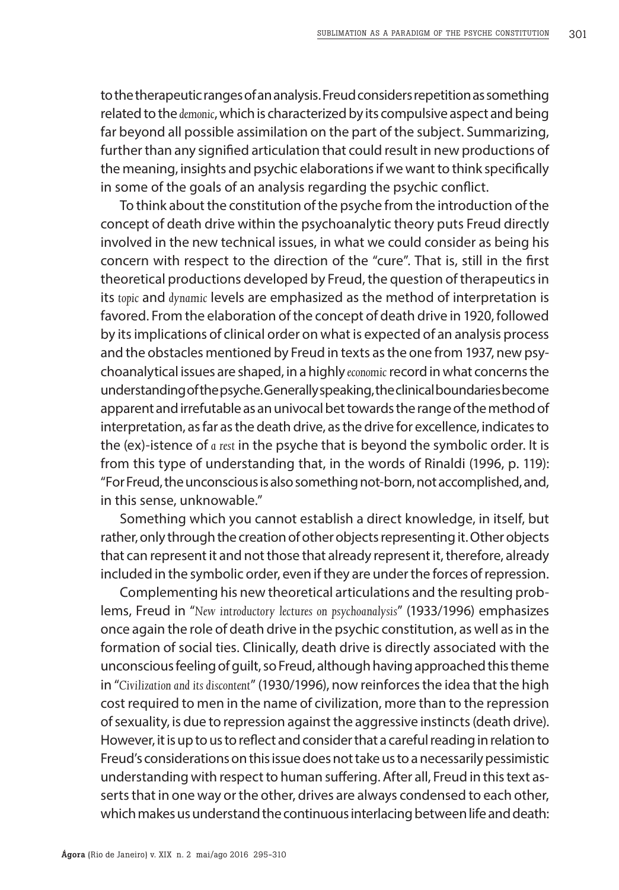to the therapeutic ranges of an analysis. Freud considers repetition as something related to the *demonic*, which is characterized by its compulsive aspect and being far beyond all possible assimilation on the part of the subject. Summarizing, further than any signified articulation that could result in new productions of the meaning, insights and psychic elaborations if we want to think specifically in some of the goals of an analysis regarding the psychic conflict.

To think about the constitution of the psyche from the introduction of the concept of death drive within the psychoanalytic theory puts Freud directly involved in the new technical issues, in what we could consider as being his concern with respect to the direction of the "cure". That is, still in the first theoretical productions developed by Freud, the question of therapeutics in its *topic* and *dynamic* levels are emphasized as the method of interpretation is favored. From the elaboration of the concept of death drive in 1920, followed by its implications of clinical order on what is expected of an analysis process and the obstacles mentioned by Freud in texts as the one from 1937, new psychoanalytical issues are shaped, in a highly *economic* record in what concerns the understanding of the psyche. Generally speaking, the clinical boundaries become apparent and irrefutable as an univocal bet towards the range of the method of interpretation, as far as the death drive, as the drive for excellence, indicates to the (ex)-istence of *a rest* in the psyche that is beyond the symbolic order. It is from this type of understanding that, in the words of Rinaldi (1996, p. 119): "For Freud, the unconscious is also something not-born, not accomplished, and, in this sense, unknowable."

Something which you cannot establish a direct knowledge, in itself, but rather, only through the creation of other objects representing it. Other objects that can represent it and not those that already represent it, therefore, already included in the symbolic order, even if they are under the forces of repression.

Complementing his new theoretical articulations and the resulting problems, Freud in "*New introductory lectures on psychoanalysis*" (1933/1996) emphasizes once again the role of death drive in the psychic constitution, as well as in the formation of social ties. Clinically, death drive is directly associated with the unconscious feeling of guilt, so Freud, although having approached this theme in "*Civilization and its discontent*" (1930/1996), now reinforces the idea that the high cost required to men in the name of civilization, more than to the repression of sexuality, is due to repression against the aggressive instincts (death drive). However, it is up to us to reflect and consider that a careful reading in relation to Freud's considerations on this issue does not take us to a necessarily pessimistic understanding with respect to human suffering. After all, Freud in this text asserts that in one way or the other, drives are always condensed to each other, which makes us understand the continuous interlacing between life and death: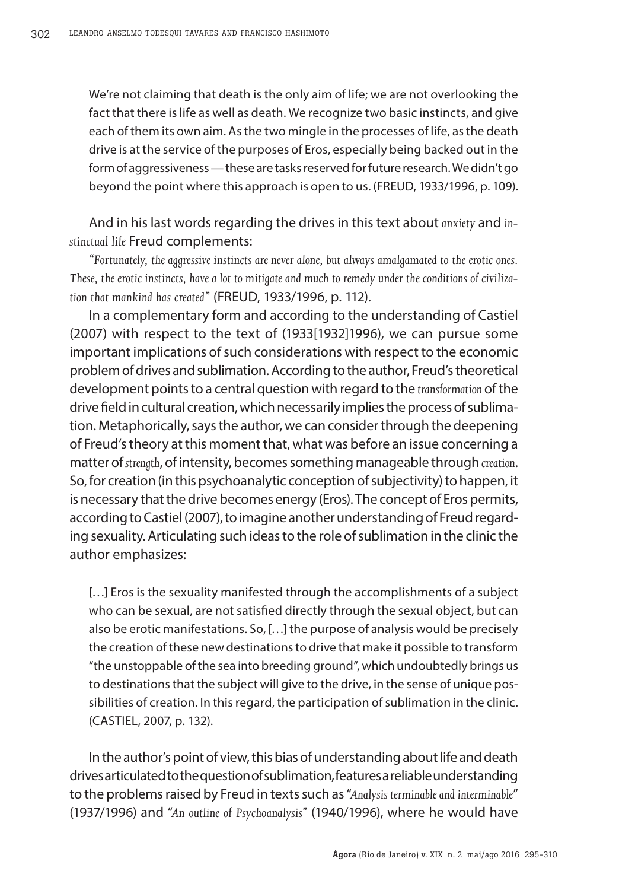We're not claiming that death is the only aim of life; we are not overlooking the fact that there is life as well as death. We recognize two basic instincts, and give each of them its own aim. As the two mingle in the processes of life, as the death drive is at the service of the purposes of Eros, especially being backed out in the form of aggressiveness — these are tasks reserved for future research. We didn't go beyond the point where this approach is open to us. (FREUD, 1933/1996, p. 109).

And in his last words regarding the drives in this text about *anxiety* and *instinctual life* Freud complements:

*"Fortunately, the aggressive instincts are never alone, but always amalgamated to the erotic ones. These, the erotic instincts, have a lot to mitigate and much to remedy under the conditions of civilization that mankind has created"* (FREUD, 1933/1996, p. 112).

In a complementary form and according to the understanding of Castiel (2007) with respect to the text of (1933[1932]1996), we can pursue some important implications of such considerations with respect to the economic problem of drives and sublimation. According to the author, Freud's theoretical development points to a central question with regard to the *transformation* of the drive field in cultural creation, which necessarily implies the process of sublimation. Metaphorically, says the author, we can consider through the deepening of Freud's theory at this moment that, what was before an issue concerning a matter of *strength*, of intensity, becomes something manageable through *creation*. So, for creation (in this psychoanalytic conception of subjectivity) to happen, it is necessary that the drive becomes energy (Eros). The concept of Eros permits, according to Castiel (2007), to imagine another understanding of Freud regarding sexuality. Articulating such ideas to the role of sublimation in the clinic the author emphasizes:

[...] Eros is the sexuality manifested through the accomplishments of a subject who can be sexual, are not satisfied directly through the sexual object, but can also be erotic manifestations. So, […] the purpose of analysis would be precisely the creation of these new destinations to drive that make it possible to transform "the unstoppable of the sea into breeding ground", which undoubtedly brings us to destinations that the subject will give to the drive, in the sense of unique possibilities of creation. In this regard, the participation of sublimation in the clinic. (CASTIEL, 2007, p. 132).

In the author's point of view, this bias of understanding about life and death drives articulated to the question of sublimation, features a reliable understanding to the problems raised by Freud in texts such as "*Analysis terminable and interminable*" (1937/1996) and "*An outline of Psychoanalysis"* (1940/1996), where he would have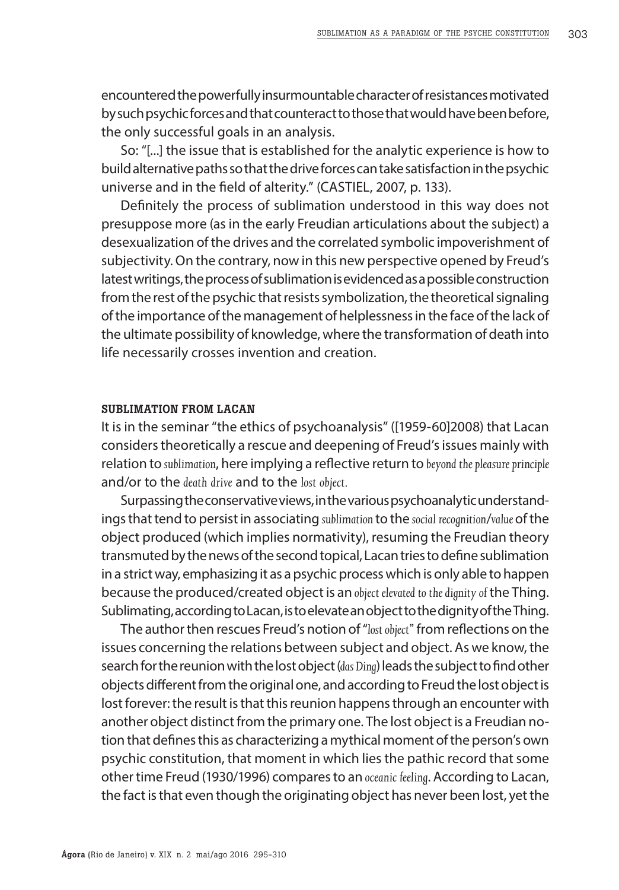encountered the powerfully insurmountable character of resistances motivated by such psychic forces and that counteract to those that would have been before, the only successful goals in an analysis.

So: "[...] the issue that is established for the analytic experience is how to build alternative paths so that the drive forces can take satisfaction in the psychic universe and in the field of alterity." (CASTIEL, 2007, p. 133).

Definitely the process of sublimation understood in this way does not presuppose more (as in the early Freudian articulations about the subject) a desexualization of the drives and the correlated symbolic impoverishment of subjectivity. On the contrary, now in this new perspective opened by Freud's latest writings, the process of sublimation is evidenced as a possible construction from the rest of the psychic that resists symbolization, the theoretical signaling of the importance of the management of helplessness in the face of the lack of the ultimate possibility of knowledge, where the transformation of death into life necessarily crosses invention and creation.

#### SUBLIMATION FROM LACAN

It is in the seminar "the ethics of psychoanalysis" ([1959-60]2008) that Lacan considers theoretically a rescue and deepening of Freud's issues mainly with relation to *sublimation*, here implying a reflective return to *beyond the pleasure principle* and/or to the *death drive* and to the *lost object.*

Surpassing the conservative views, in the various psychoanalytic understandings that tend to persist in associating *sublimation* to the *social recognition*/*value* of the object produced (which implies normativity), resuming the Freudian theory transmuted by the news of the second topical, Lacan tries to define sublimation in a strict way, emphasizing it as a psychic process which is only able to happen because the produced/created object is an *object elevated to the dignity of* the Thing. Sublimating, according to Lacan, is to elevate an object to the dignity of the Thing.

The author then rescues Freud's notion of "*lost object"* from reflections on the issues concerning the relations between subject and object. As we know, the search for the reunion with the lost object (*das Ding*) leads the subject to find other objects different from the original one, and according to Freud the lost object is lost forever: the result is that this reunion happens through an encounter with another object distinct from the primary one. The lost object is a Freudian notion that defines this as characterizing a mythical moment of the person's own psychic constitution, that moment in which lies the pathic record that some other time Freud (1930/1996) compares to an *oceanic feeling*. According to Lacan, the fact is that even though the originating object has never been lost, yet the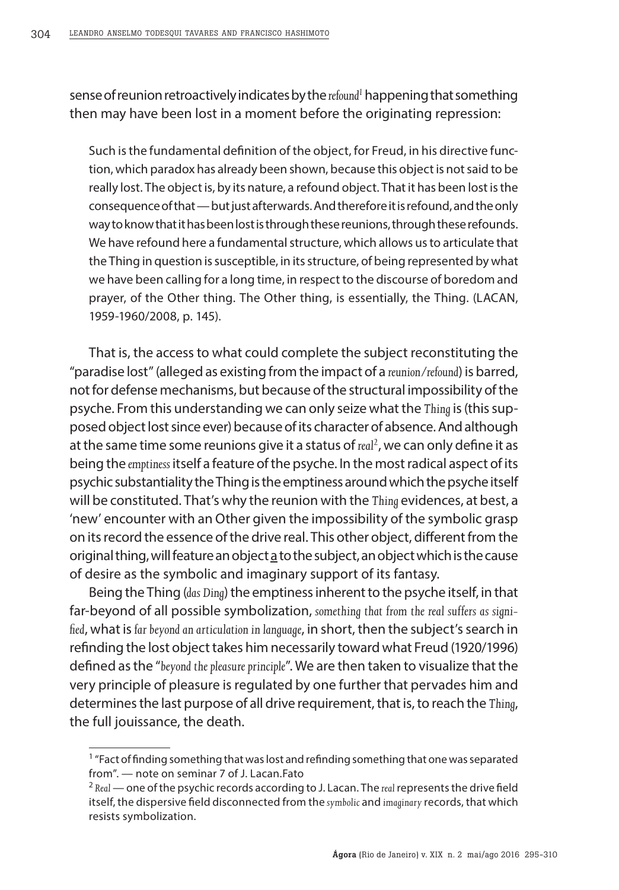sense of reunion retroactively indicates by the refound<sup>1</sup> happening that something then may have been lost in a moment before the originating repression:

Such is the fundamental definition of the object, for Freud, in his directive function, which paradox has already been shown, because this object is not said to be really lost. The object is, by its nature, a refound object. That it has been lost is the consequence of that — but just afterwards. And therefore it is refound, and the only way to know that it has been lost is through these reunions, through these refounds. We have refound here a fundamental structure, which allows us to articulate that the Thing in question is susceptible, in its structure, of being represented by what we have been calling for a long time, in respect to the discourse of boredom and prayer, of the Other thing. The Other thing, is essentially, the Thing. (LACAN, 1959-1960/2008, p. 145).

That is, the access to what could complete the subject reconstituting the "paradise lost" (alleged as existing from the impact of a *reunion/refound*) is barred, not for defense mechanisms, but because of the structural impossibility of the psyche. From this understanding we can only seize what the *Thing* is (this supposed object lost since ever) because of its character of absence. And although at the same time some reunions give it a status of real<sup>2</sup>, we can only define it as being the *emptiness* itself a feature of the psyche. In the most radical aspect of its psychic substantiality the Thing is the emptiness around which the psyche itself will be constituted. That's why the reunion with the *Thing* evidences, at best, a 'new' encounter with an Other given the impossibility of the symbolic grasp on its record the essence of the drive real. This other object, different from the original thing, will feature an object a to the subject, an object which is the cause of desire as the symbolic and imaginary support of its fantasy.

Being the Thing (*das Ding*) the emptiness inherent to the psyche itself, in that far-beyond of all possible symbolization, *something that from the real suffers as signified*, what is *far beyond an articulation in language*, in short, then the subject's search in refinding the lost object takes him necessarily toward what Freud (1920/1996) defined as the "*beyond the pleasure principle*". We are then taken to visualize that the very principle of pleasure is regulated by one further that pervades him and determines the last purpose of all drive requirement, that is, to reach the *Thing*, the full jouissance, the death.

<sup>&</sup>lt;sup>1</sup> "Fact of finding something that was lost and refinding something that one was separated from". — note on seminar 7 of J. Lacan.Fato

<sup>2</sup> *Real* — one of the psychic records according to J. Lacan. The *real* represents the drive field itself, the dispersive field disconnected from the *symbolic* and *imaginary* records, that which resists symbolization.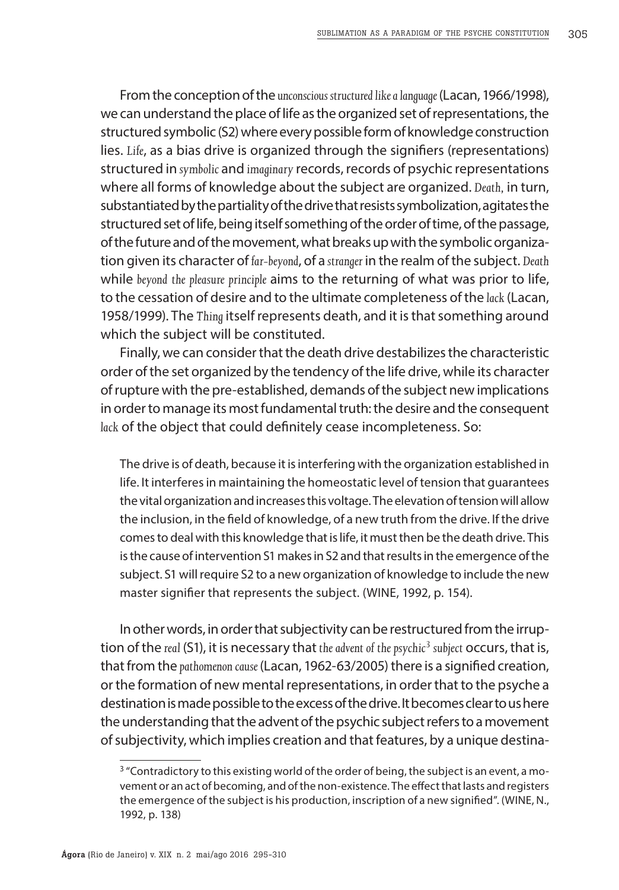From the conception of the *unconscious structured like a language* (Lacan, 1966/1998), we can understand the place of life as the organized set of representations, the structured symbolic (S2) where every possible form of knowledge construction lies. *Life*, as a bias drive is organized through the signifiers (representations) structured in *symbolic* and *imaginary* records, records of psychic representations where all forms of knowledge about the subject are organized. *Death,* in turn, substantiated by the partiality of the drive that resists symbolization, agitates the structured set of life, being itself something of the order of time, of the passage, of the future and of the movement, what breaks up with the symbolic organization given its character of *far-beyond*, of a *stranger* in the realm of the subject. *Death* while *beyond the pleasure principle* aims to the returning of what was prior to life, to the cessation of desire and to the ultimate completeness of the *lack* (Lacan, 1958/1999). The *Thing* itself represents death, and it is that something around which the subject will be constituted.

Finally, we can consider that the death drive destabilizes the characteristic order of the set organized by the tendency of the life drive, while its character of rupture with the pre-established, demands of the subject new implications in order to manage its most fundamental truth: the desire and the consequent *lack* of the object that could definitely cease incompleteness. So:

The drive is of death, because it is interfering with the organization established in life. It interferes in maintaining the homeostatic level of tension that guarantees the vital organization and increases this voltage. The elevation of tension will allow the inclusion, in the field of knowledge, of a new truth from the drive. If the drive comes to deal with this knowledge that is life, it must then be the death drive. This is the cause of intervention S1 makes in S2 and that results in the emergence of the subject. S1 will require S2 to a new organization of knowledge to include the new master signifier that represents the subject. (WINE, 1992, p. 154).

In other words, in order that subjectivity can be restructured from the irruption of the *real* (S1), it is necessary that *the advent of the psychic3 subject* occurs, that is, that from the *pathomenon cause* (Lacan, 1962-63/2005) there is a signified creation, or the formation of new mental representations, in order that to the psyche a destination is made possible to the excess of the drive. It becomes clear to us here the understanding that the advent of the psychic subject refers to a movement of subjectivity, which implies creation and that features, by a unique destina-

 $3$  "Contradictory to this existing world of the order of being, the subject is an event, a movement or an act of becoming, and of the non-existence. The effect that lasts and registers the emergence of the subject is his production, inscription of a new signified". (WINE, N., 1992, p. 138)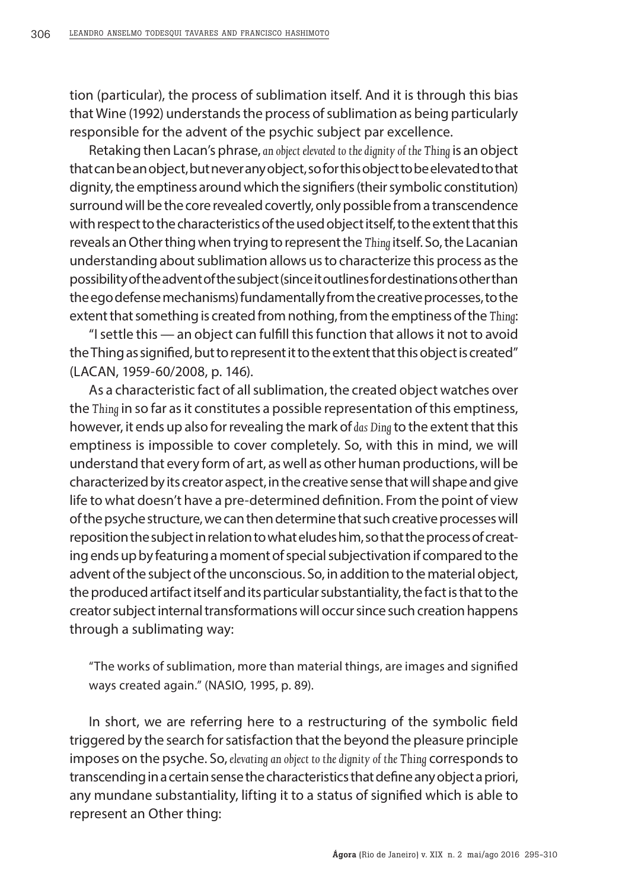tion (particular), the process of sublimation itself. And it is through this bias that Wine (1992) understands the process of sublimation as being particularly responsible for the advent of the psychic subject par excellence.

Retaking then Lacan's phrase, *an object elevated to the dignity of the Thing* is an object that can be an object, but never any object, so for this object to be elevated to that dignity, the emptiness around which the signifiers (their symbolic constitution) surround will be the core revealed covertly, only possible from a transcendence with respect to the characteristics of the used object itself, to the extent that this reveals an Other thing when trying to represent the *Thing* itself. So, the Lacanian understanding about sublimation allows us to characterize this process as the possibility of the advent of the subject (since it outlines for destinations other than the ego defense mechanisms) fundamentally from the creative processes, to the extent that something is created from nothing, from the emptiness of the *Thing*:

"I settle this — an object can fulfill this function that allows it not to avoid the Thing as signified, but to represent it to the extent that this object is created" (LACAN, 1959-60/2008, p. 146).

As a characteristic fact of all sublimation, the created object watches over the *Thing* in so far as it constitutes a possible representation of this emptiness, however, it ends up also for revealing the mark of *das Ding* to the extent that this emptiness is impossible to cover completely. So, with this in mind, we will understand that every form of art, as well as other human productions, will be characterized by its creator aspect, in the creative sense that will shape and give life to what doesn't have a pre-determined definition. From the point of view of the psyche structure, we can then determine that such creative processes will reposition the subject in relation to what eludes him, so that the process of creating ends up by featuring a moment of special subjectivation if compared to the advent of the subject of the unconscious. So, in addition to the material object, the produced artifact itself and its particular substantiality, the fact is that to the creator subject internal transformations will occur since such creation happens through a sublimating way:

"The works of sublimation, more than material things, are images and signified ways created again." (NASIO, 1995, p. 89).

In short, we are referring here to a restructuring of the symbolic field triggered by the search for satisfaction that the beyond the pleasure principle imposes on the psyche. So, *elevating an object to the dignity of the Thing* corresponds to transcending in a certain sense the characteristics that define any object a priori, any mundane substantiality, lifting it to a status of signified which is able to represent an Other thing: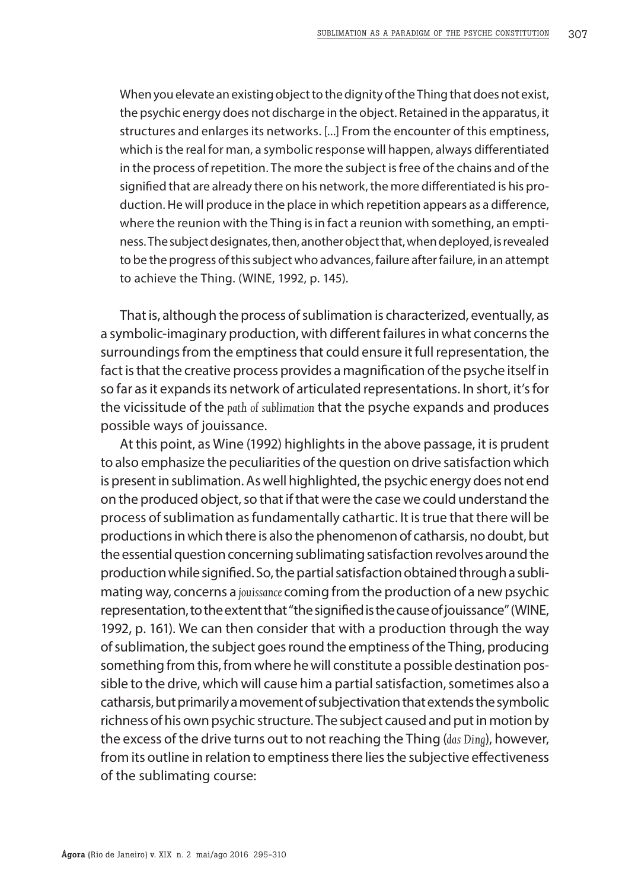When you elevate an existing object to the dignity of the Thing that does not exist, the psychic energy does not discharge in the object. Retained in the apparatus, it structures and enlarges its networks. [...] From the encounter of this emptiness, which is the real for man, a symbolic response will happen, always differentiated in the process of repetition. The more the subject is free of the chains and of the signified that are already there on his network, the more differentiated is his production. He will produce in the place in which repetition appears as a difference, where the reunion with the Thing is in fact a reunion with something, an emptiness. The subject designates, then, another object that, when deployed, is revealed to be the progress of this subject who advances, failure after failure, in an attempt to achieve the Thing. (WINE, 1992, p. 145).

That is, although the process of sublimation is characterized, eventually, as a symbolic-imaginary production, with different failures in what concerns the surroundings from the emptiness that could ensure it full representation, the fact is that the creative process provides a magnification of the psyche itself in so far as it expands its network of articulated representations. In short, it's for the vicissitude of the *path of sublimation* that the psyche expands and produces possible ways of jouissance.

At this point, as Wine (1992) highlights in the above passage, it is prudent to also emphasize the peculiarities of the question on drive satisfaction which is present in sublimation. As well highlighted, the psychic energy does not end on the produced object, so that if that were the case we could understand the process of sublimation as fundamentally cathartic. It is true that there will be productions in which there is also the phenomenon of catharsis, no doubt, but the essential question concerning sublimating satisfaction revolves around the production while signified. So, the partial satisfaction obtained through a sublimating way, concerns a *jouissance* coming from the production of a new psychic representation, to the extent that "the signified is the cause of jouissance" (WINE, 1992, p. 161). We can then consider that with a production through the way of sublimation, the subject goes round the emptiness of the Thing, producing something from this, from where he will constitute a possible destination possible to the drive, which will cause him a partial satisfaction, sometimes also a catharsis, but primarily a movement of subjectivation that extends the symbolic richness of his own psychic structure. The subject caused and put in motion by the excess of the drive turns out to not reaching the Thing (*das Ding*), however, from its outline in relation to emptiness there lies the subjective effectiveness of the sublimating course: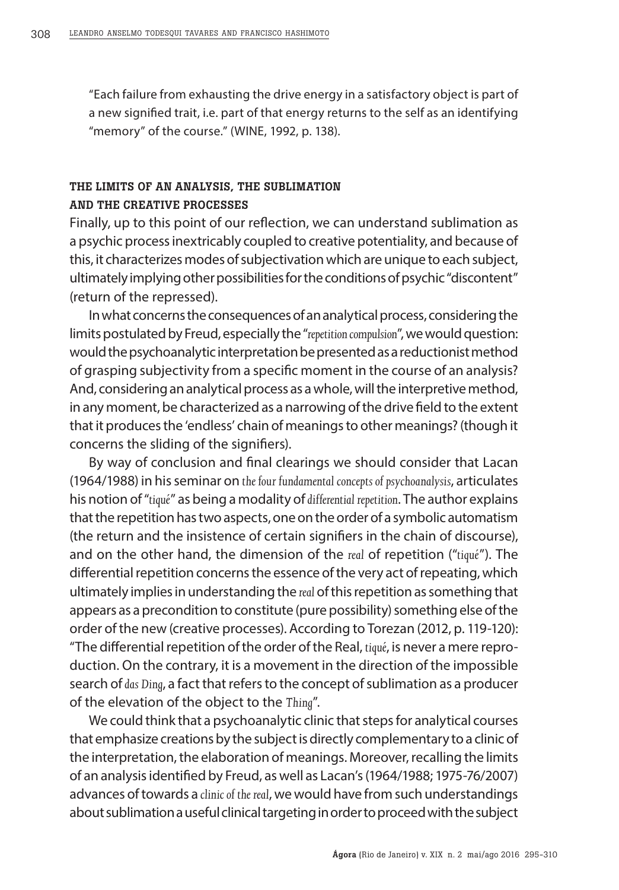"Each failure from exhausting the drive energy in a satisfactory object is part of a new signified trait, i.e. part of that energy returns to the self as an identifying "memory" of the course." (WINE, 1992, p. 138).

# THE LIMITS OF AN ANALYSIS, THE SUBLIMATION AND THE CREATIVE PROCESSES

Finally, up to this point of our reflection, we can understand sublimation as a psychic process inextricably coupled to creative potentiality, and because of this, it characterizes modes of subjectivation which are unique to each subject, ultimately implying other possibilities for the conditions of psychic "discontent" (return of the repressed).

In what concerns the consequences of an analytical process, considering the limits postulated by Freud, especially the "*repetition compulsion*", we would question: would the psychoanalytic interpretation be presented as a reductionist method of grasping subjectivity from a specific moment in the course of an analysis? And, considering an analytical process as a whole, will the interpretive method, in any moment, be characterized as a narrowing of the drive field to the extent that it produces the 'endless' chain of meanings to other meanings? (though it concerns the sliding of the signifiers).

By way of conclusion and final clearings we should consider that Lacan (1964/1988) in his seminar on *the four fundamental concepts of psychoanalysis*, articulates his notion of "*tiqué*" as being a modality of *differential repetition*. The author explains that the repetition has two aspects, one on the order of a symbolic automatism (the return and the insistence of certain signifiers in the chain of discourse), and on the other hand, the dimension of the *real* of repetition ("*tiqué*"). The differential repetition concerns the essence of the very act of repeating, which ultimately implies in understanding the *real* of this repetition as something that appears as a precondition to constitute (pure possibility) something else of the order of the new (creative processes). According to Torezan (2012, p. 119-120): "The differential repetition of the order of the Real, *tiqué*, is never a mere reproduction. On the contrary, it is a movement in the direction of the impossible search of *das Ding*, a fact that refers to the concept of sublimation as a producer of the elevation of the object to the *Thing*".

We could think that a psychoanalytic clinic that steps for analytical courses that emphasize creations by the subject is directly complementary to a clinic of the interpretation, the elaboration of meanings. Moreover, recalling the limits of an analysis identified by Freud, as well as Lacan's (1964/1988; 1975-76/2007) advances of towards a *clinic of the real*, we would have from such understandings about sublimation a useful clinical targeting in order to proceed with the subject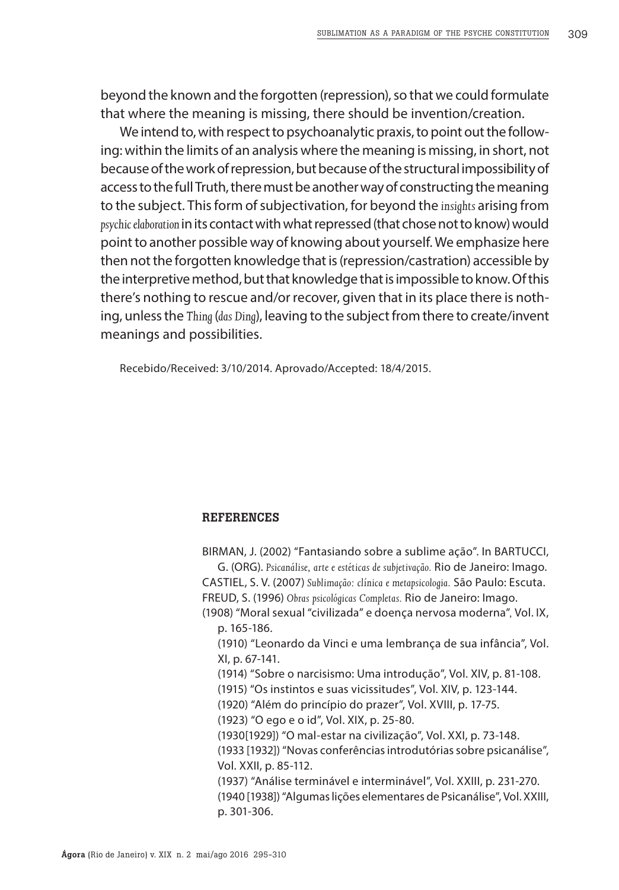beyond the known and the forgotten (repression), so that we could formulate that where the meaning is missing, there should be invention/creation.

We intend to, with respect to psychoanalytic praxis, to point out the following: within the limits of an analysis where the meaning is missing, in short, not because of the work of repression, but because of the structural impossibility of access to the full Truth, there must be another way of constructing the meaning to the subject. This form of subjectivation, for beyond the *insights* arising from *psychic elaboration* in its contact with what repressed (that chose not to know) would point to another possible way of knowing about yourself. We emphasize here then not the forgotten knowledge that is (repression/castration) accessible by the interpretive method, but that knowledge that is impossible to know. Of this there's nothing to rescue and/or recover, given that in its place there is nothing, unless the *Thing* (*das Ding*), leaving to the subject from there to create/invent meanings and possibilities.

Recebido/Received: 3/10/2014. Aprovado/Accepted: 18/4/2015.

## **REFERENCES**

BIRMAN, J. (2002) "Fantasiando sobre a sublime ação". In BARTUCCI, G. (ORG). *Psicanálise, arte e estéticas de subjetivação.* Rio de Janeiro: Imago. CASTIEL, S. V. (2007) *Sublimação: clínica e metapsicologia.* São Paulo: Escuta. FREUD, S. (1996) *Obras psicológicas Completas.* Rio de Janeiro: Imago. (1908) "Moral sexual "civilizada" e doença nervosa moderna"*,* Vol. IX, p. 165-186. (1910) "Leonardo da Vinci e uma lembrança de sua infância", Vol. XI, p. 67-141. (1914) "Sobre o narcisismo: Uma introdução", Vol. XIV, p. 81-108. (1915) "Os instintos e suas vicissitudes", Vol. XIV, p. 123-144. (1920) "Além do princípio do prazer", Vol. XVIII, p. 17-75. (1923) "O ego e o id", Vol. XIX, p. 25-80. (1930[1929]) "O mal-estar na civilização", Vol. XXI, p. 73-148. (1933 [1932]) "Novas conferências introdutórias sobre psicanálise", Vol. XXII, p. 85-112. (1937) "Análise terminável e interminável", Vol. XXIII, p. 231-270. (1940 [1938]) "Algumas lições elementares de Psicanálise", Vol. XXIII, p. 301-306.